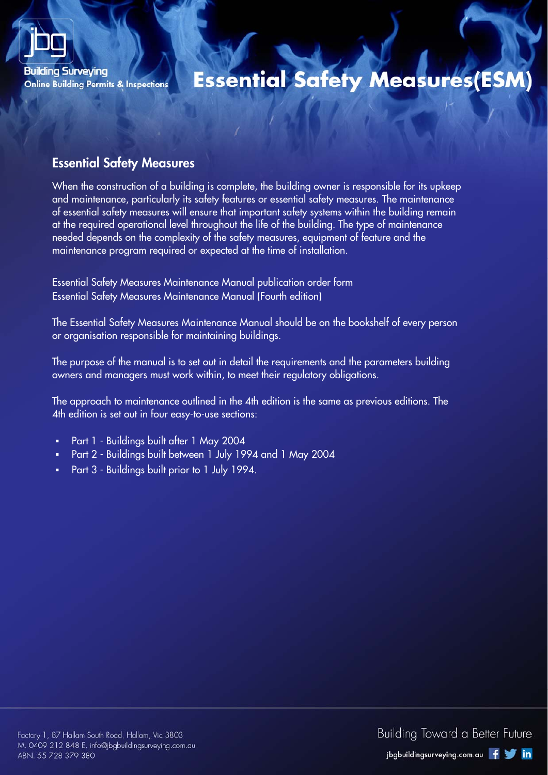

# **Essential Safety Measures(ESM)**

#### Essential Safety Measures

When the construction of a building is complete, the building owner is responsible for its upkeep and maintenance, particularly its safety features or essential safety measures. The maintenance of essential safety measures will ensure that important safety systems within the building remain at the required operational level throughout the life of the building. The type of maintenance needed depends on the complexity of the safety measures, equipment of feature and the maintenance program required or expected at the time of installation.

Essential Safety Measures Maintenance Manual publication order form Essential Safety Measures Maintenance Manual (Fourth edition)

The Essential Safety Measures Maintenance Manual should be on the bookshelf of every person or organisation responsible for maintaining buildings.

The purpose of the manual is to set out in detail the requirements and the parameters building owners and managers must work within, to meet their regulatory obligations.

The approach to maintenance outlined in the 4th edition is the same as previous editions. The 4th edition is set out in four easy-to-use sections:

- Part 1 Buildings built after 1 May 2004
- Part 2 Buildings built between 1 July 1994 and 1 May 2004
- **Part 3 Buildings built prior to 1 July 1994.**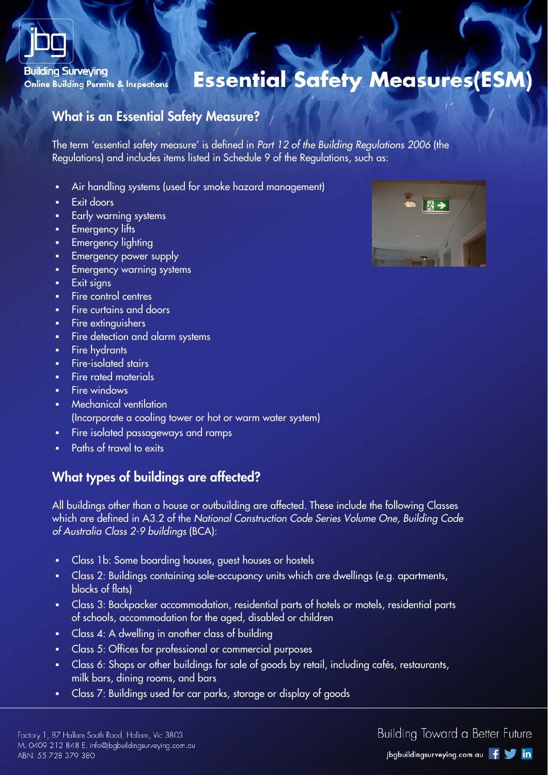

## **Essential Safety Measures(ESM)**

#### What is an Essential Safety Measure?

The term 'essential safety measure' is defined in Part 12 of the Building Regulations 2006 (the Regulations) and includes items listed in Schedule 9 of the Regulations, such as:

- Air handling systems (used for smoke hazard management)
- Exit doors
- Early warning systems
- Emergency lifts
- Emergency lighting
- Emergency power supply
- **Emergency warning systems**
- **Exit signs**
- **Fire control centres**
- Fire curtains and doors
- Fire extinguishers
- **Fire detection and alarm systems**
- **Fire hydrants**
- **Fire-isolated stairs**
- Fire rated materials
- Fire windows
- **Wechanical ventilation** (Incorporate a cooling tower or hot or warm water system)
- Fire isolated passageways and ramps
- Paths of travel to exits

## What types of buildings are affected?

All buildings other than a house or outbuilding are affected. These include the following Classes which are defined in A3.2 of the National Construction Code Series Volume One, Building Code of Australia Class 2-9 buildings (BCA):

- Class 1b: Some boarding houses, guest houses or hostels
- Class 2: Buildings containing sole-occupancy units which are dwellings (e.g. apartments, blocks of flats)
- Class 3: Backpacker accommodation, residential parts of hotels or motels, residential parts of schools, accommodation for the aged, disabled or children
- Class 4: A dwelling in another class of building
- Class 5: Offices for professional or commercial purposes
- Class 6: Shops or other buildings for sale of goods by retail, including cafés, restaurants, milk bars, dining rooms, and bars
- Class 7: Buildings used for car parks, storage or display of goods



#### Building Toward a Better Future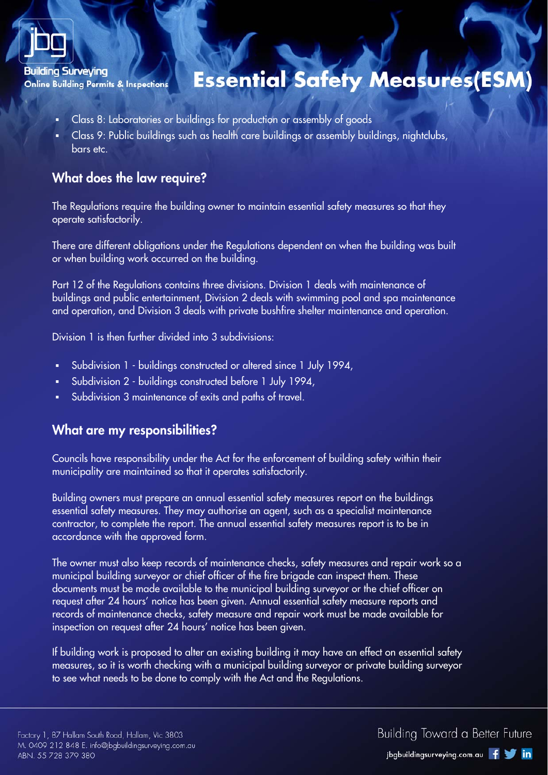

# **Essential Safety Measures(ESM**

- Class 8: Laboratories or buildings for production or assembly of goods
- Class 9: Public buildings such as health care buildings or assembly buildings, nightclubs, bars etc.

## What does the law require?

The Regulations require the building owner to maintain essential safety measures so that they operate satisfactorily.

There are different obligations under the Regulations dependent on when the building was built or when building work occurred on the building.

Part 12 of the Regulations contains three divisions. Division 1 deals with maintenance of buildings and public entertainment, Division 2 deals with swimming pool and spa maintenance and operation, and Division 3 deals with private bushfire shelter maintenance and operation.

Division 1 is then further divided into 3 subdivisions:

- Subdivision 1 buildings constructed or altered since 1 July 1994,
- Subdivision 2 buildings constructed before 1 July 1994,
- Subdivision 3 maintenance of exits and paths of travel.

#### What are my responsibilities?

Councils have responsibility under the Act for the enforcement of building safety within their municipality are maintained so that it operates satisfactorily.

Building owners must prepare an annual essential safety measures report on the buildings essential safety measures. They may authorise an agent, such as a specialist maintenance contractor, to complete the report. The annual essential safety measures report is to be in accordance with the approved form.

The owner must also keep records of maintenance checks, safety measures and repair work so a municipal building surveyor or chief officer of the fire brigade can inspect them. These documents must be made available to the municipal building surveyor or the chief officer on request after 24 hours' notice has been given. Annual essential safety measure reports and records of maintenance checks, safety measure and repair work must be made available for inspection on request after 24 hours' notice has been given.

If building work is proposed to alter an existing building it may have an effect on essential safety measures, so it is worth checking with a municipal building surveyor or private building surveyor to see what needs to be done to comply with the Act and the Regulations.

**Building Toward a Better Future**